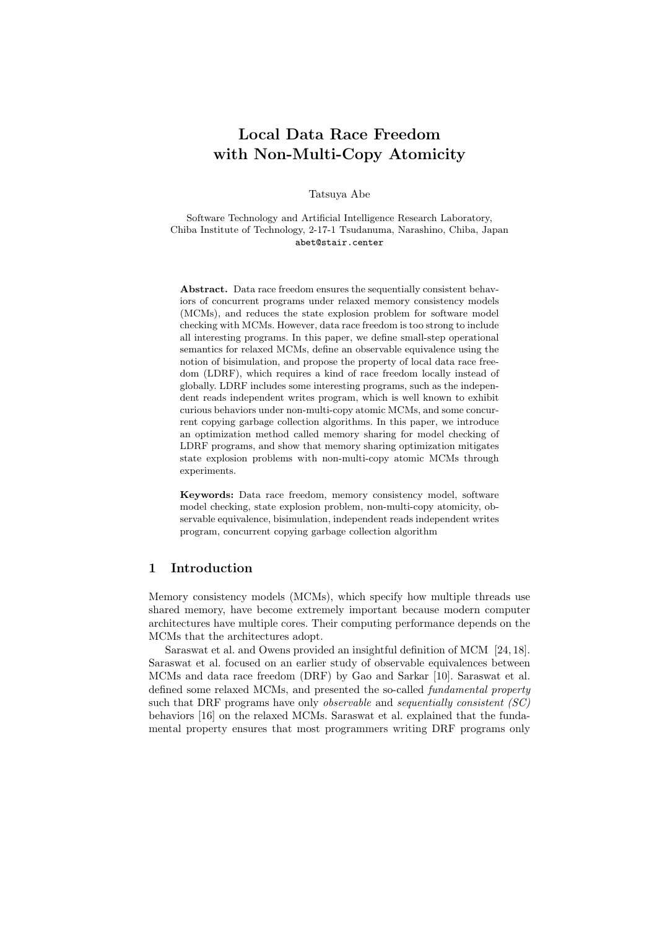# Local Data Race Freedom with Non-Multi-Copy Atomicity

Tatsuya Abe

Software Technology and Artificial Intelligence Research Laboratory, Chiba Institute of Technology, 2-17-1 Tsudanuma, Narashino, Chiba, Japan abet@stair.center

Abstract. Data race freedom ensures the sequentially consistent behaviors of concurrent programs under relaxed memory consistency models (MCMs), and reduces the state explosion problem for software model checking with MCMs. However, data race freedom is too strong to include all interesting programs. In this paper, we define small-step operational semantics for relaxed MCMs, define an observable equivalence using the notion of bisimulation, and propose the property of local data race freedom (LDRF), which requires a kind of race freedom locally instead of globally. LDRF includes some interesting programs, such as the independent reads independent writes program, which is well known to exhibit curious behaviors under non-multi-copy atomic MCMs, and some concurrent copying garbage collection algorithms. In this paper, we introduce an optimization method called memory sharing for model checking of LDRF programs, and show that memory sharing optimization mitigates state explosion problems with non-multi-copy atomic MCMs through experiments.

Keywords: Data race freedom, memory consistency model, software model checking, state explosion problem, non-multi-copy atomicity, observable equivalence, bisimulation, independent reads independent writes program, concurrent copying garbage collection algorithm

# 1 Introduction

Memory consistency models (MCMs), which specify how multiple threads use shared memory, have become extremely important because modern computer architectures have multiple cores. Their computing performance depends on the MCMs that the architectures adopt.

Saraswat et al. and Owens provided an insightful definition of MCM [24, 18]. Saraswat et al. focused on an earlier study of observable equivalences between MCMs and data race freedom (DRF) by Gao and Sarkar [10]. Saraswat et al. defined some relaxed MCMs, and presented the so-called fundamental property such that DRF programs have only *observable* and *sequentially consistent*  $(SC)$ behaviors [16] on the relaxed MCMs. Saraswat et al. explained that the fundamental property ensures that most programmers writing DRF programs only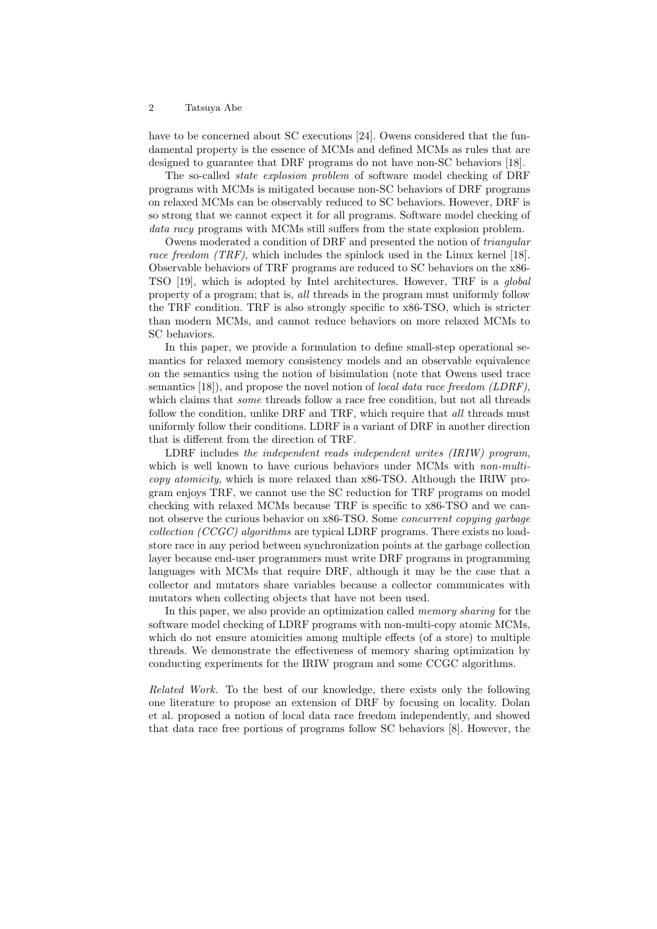have to be concerned about SC executions [24]. Owens considered that the fundamental property is the essence of MCMs and defined MCMs as rules that are designed to guarantee that DRF programs do not have non-SC behaviors [18].

The so-called state explosion problem of software model checking of DRF programs with MCMs is mitigated because non-SC behaviors of DRF programs on relaxed MCMs can be observably reduced to SC behaviors. However, DRF is so strong that we cannot expect it for all programs. Software model checking of data racy programs with MCMs still suffers from the state explosion problem.

Owens moderated a condition of DRF and presented the notion of triangular race freedom (TRF), which includes the spinlock used in the Linux kernel [18]. Observable behaviors of TRF programs are reduced to SC behaviors on the x86- TSO [19], which is adopted by Intel architectures. However, TRF is a global property of a program; that is, all threads in the program must uniformly follow the TRF condition. TRF is also strongly specific to x86-TSO, which is stricter than modern MCMs, and cannot reduce behaviors on more relaxed MCMs to SC behaviors.

In this paper, we provide a formulation to define small-step operational semantics for relaxed memory consistency models and an observable equivalence on the semantics using the notion of bisimulation (note that Owens used trace semantics  $[18]$ , and propose the novel notion of *local data race freedom* (*LDRF*), which claims that *some* threads follow a race free condition, but not all threads follow the condition, unlike DRF and TRF, which require that all threads must uniformly follow their conditions. LDRF is a variant of DRF in another direction that is different from the direction of TRF.

LDRF includes the independent reads independent writes (IRIW) program, which is well known to have curious behaviors under MCMs with *non-multi*copy atomicity, which is more relaxed than x86-TSO. Although the IRIW program enjoys TRF, we cannot use the SC reduction for TRF programs on model checking with relaxed MCMs because TRF is specific to x86-TSO and we cannot observe the curious behavior on x86-TSO. Some *concurrent copying garbage* collection (CCGC) algorithms are typical LDRF programs. There exists no loadstore race in any period between synchronization points at the garbage collection layer because end-user programmers must write DRF programs in programming languages with MCMs that require DRF, although it may be the case that a collector and mutators share variables because a collector communicates with mutators when collecting objects that have not been used.

In this paper, we also provide an optimization called *memory sharing* for the software model checking of LDRF programs with non-multi-copy atomic MCMs, which do not ensure atomicities among multiple effects (of a store) to multiple threads. We demonstrate the effectiveness of memory sharing optimization by conducting experiments for the IRIW program and some CCGC algorithms.

Related Work. To the best of our knowledge, there exists only the following one literature to propose an extension of DRF by focusing on locality. Dolan et al. proposed a notion of local data race freedom independently, and showed that data race free portions of programs follow SC behaviors [8]. However, the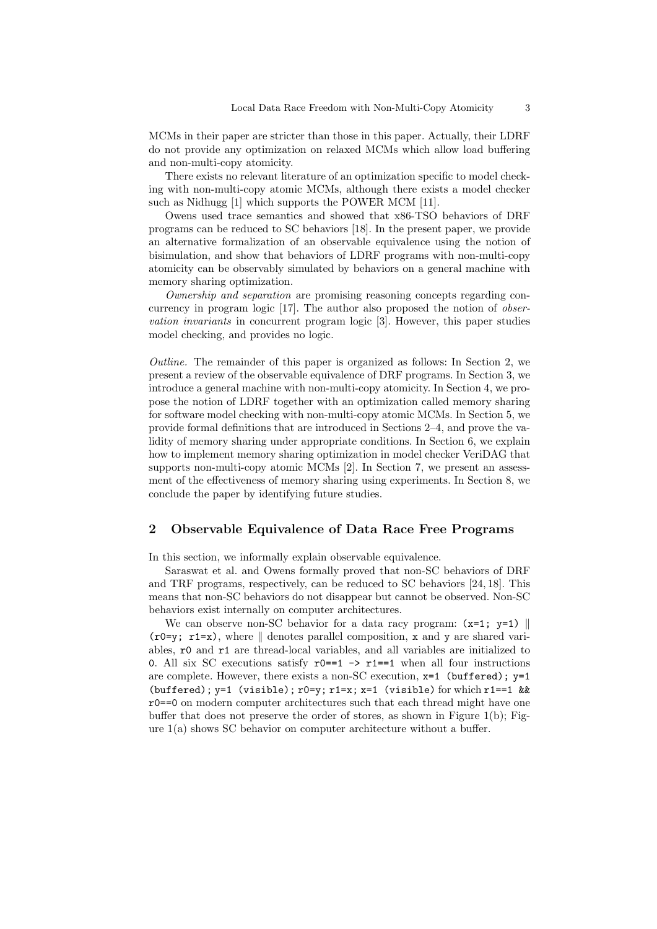MCMs in their paper are stricter than those in this paper. Actually, their LDRF do not provide any optimization on relaxed MCMs which allow load buffering and non-multi-copy atomicity.

There exists no relevant literature of an optimization specific to model checking with non-multi-copy atomic MCMs, although there exists a model checker such as Nidhugg [1] which supports the POWER MCM [11].

Owens used trace semantics and showed that x86-TSO behaviors of DRF programs can be reduced to SC behaviors [18]. In the present paper, we provide an alternative formalization of an observable equivalence using the notion of bisimulation, and show that behaviors of LDRF programs with non-multi-copy atomicity can be observably simulated by behaviors on a general machine with memory sharing optimization.

Ownership and separation are promising reasoning concepts regarding concurrency in program logic [17]. The author also proposed the notion of observation invariants in concurrent program logic [3]. However, this paper studies model checking, and provides no logic.

Outline. The remainder of this paper is organized as follows: In Section 2, we present a review of the observable equivalence of DRF programs. In Section 3, we introduce a general machine with non-multi-copy atomicity. In Section 4, we propose the notion of LDRF together with an optimization called memory sharing for software model checking with non-multi-copy atomic MCMs. In Section 5, we provide formal definitions that are introduced in Sections 2–4, and prove the validity of memory sharing under appropriate conditions. In Section 6, we explain how to implement memory sharing optimization in model checker VeriDAG that supports non-multi-copy atomic MCMs [2]. In Section 7, we present an assessment of the effectiveness of memory sharing using experiments. In Section 8, we conclude the paper by identifying future studies.

## 2 Observable Equivalence of Data Race Free Programs

In this section, we informally explain observable equivalence.

Saraswat et al. and Owens formally proved that non-SC behaviors of DRF and TRF programs, respectively, can be reduced to SC behaviors [24, 18]. This means that non-SC behaviors do not disappear but cannot be observed. Non-SC behaviors exist internally on computer architectures.

We can observe non-SC behavior for a data racy program:  $(x=1; y=1)$  ||  $($ r0=y; r1=x), where  $\parallel$  denotes parallel composition, x and y are shared variables, r0 and r1 are thread-local variables, and all variables are initialized to 0. All six SC executions satisfy  $r0 == 1 \rightarrow r1 == 1$  when all four instructions are complete. However, there exists a non-SC execution, x=1 (buffered); y=1 (buffered);  $y=1$  (visible);  $r0=y$ ;  $r1=x$ ;  $x=1$  (visible) for which  $r1=-1$  && r0==0 on modern computer architectures such that each thread might have one buffer that does not preserve the order of stores, as shown in Figure 1(b); Figure  $1(a)$  shows SC behavior on computer architecture without a buffer.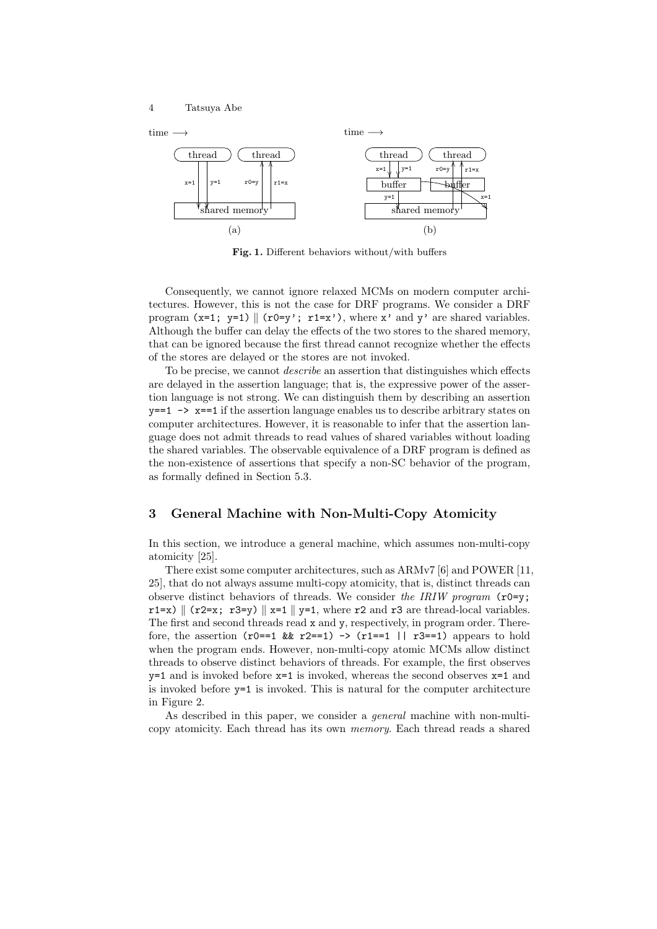

Fig. 1. Different behaviors without/with buffers

Consequently, we cannot ignore relaxed MCMs on modern computer architectures. However, this is not the case for DRF programs. We consider a DRF program  $(x=1; y=1) \parallel (r0=y'; r1=x')$ , where x' and y' are shared variables. Although the buffer can delay the effects of the two stores to the shared memory, that can be ignored because the first thread cannot recognize whether the effects of the stores are delayed or the stores are not invoked.

To be precise, we cannot *describe* an assertion that distinguishes which effects are delayed in the assertion language; that is, the expressive power of the assertion language is not strong. We can distinguish them by describing an assertion  $y=-1$   $\rightarrow$   $x=-1$  if the assertion language enables us to describe arbitrary states on computer architectures. However, it is reasonable to infer that the assertion language does not admit threads to read values of shared variables without loading the shared variables. The observable equivalence of a DRF program is defined as the non-existence of assertions that specify a non-SC behavior of the program, as formally defined in Section 5.3.

# 3 General Machine with Non-Multi-Copy Atomicity

In this section, we introduce a general machine, which assumes non-multi-copy atomicity [25].

There exist some computer architectures, such as ARMv7 [6] and POWER [11, 25], that do not always assume multi-copy atomicity, that is, distinct threads can observe distinct behaviors of threads. We consider the IRIW program  $(2^p)$ ;  $r1=x$  (r2=x; r3=y) ||x=1 ||y=1, where r2 and r3 are thread-local variables. The first and second threads read x and y, respectively, in program order. Therefore, the assertion  $(r0==1 \& r2==1) \rightarrow (r1==1 \mid r3==1)$  appears to hold when the program ends. However, non-multi-copy atomic MCMs allow distinct threads to observe distinct behaviors of threads. For example, the first observes  $y=1$  and is invoked before  $x=1$  is invoked, whereas the second observes  $x=1$  and is invoked before y=1 is invoked. This is natural for the computer architecture in Figure 2.

As described in this paper, we consider a general machine with non-multicopy atomicity. Each thread has its own memory. Each thread reads a shared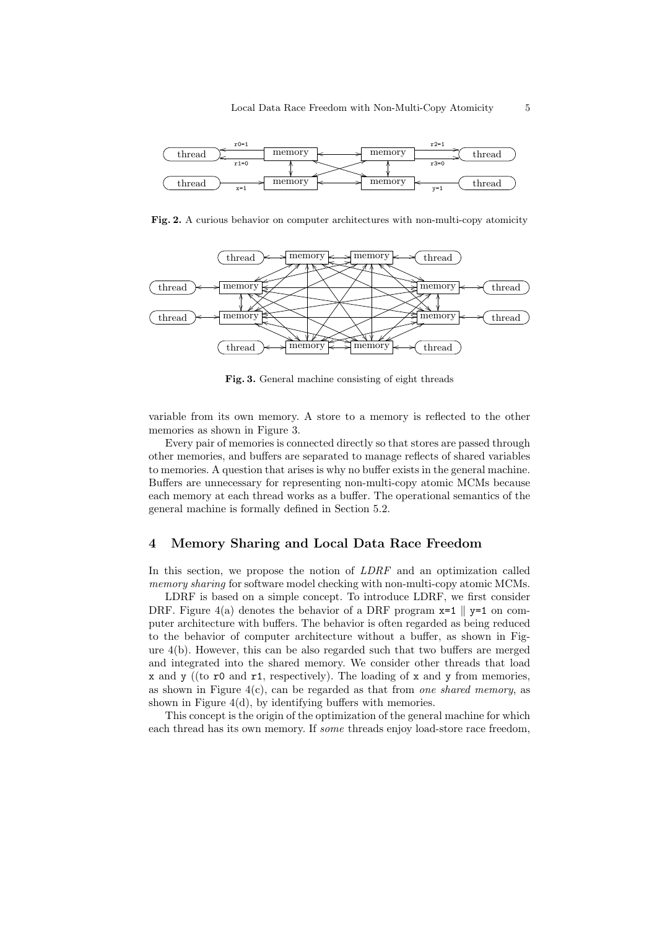

Fig. 2. A curious behavior on computer architectures with non-multi-copy atomicity



Fig. 3. General machine consisting of eight threads

variable from its own memory. A store to a memory is reflected to the other memories as shown in Figure 3.

Every pair of memories is connected directly so that stores are passed through other memories, and buffers are separated to manage reflects of shared variables to memories. A question that arises is why no buffer exists in the general machine. Buffers are unnecessary for representing non-multi-copy atomic MCMs because each memory at each thread works as a buffer. The operational semantics of the general machine is formally defined in Section 5.2.

## 4 Memory Sharing and Local Data Race Freedom

In this section, we propose the notion of LDRF and an optimization called memory sharing for software model checking with non-multi-copy atomic MCMs.

LDRF is based on a simple concept. To introduce LDRF, we first consider DRF. Figure 4(a) denotes the behavior of a DRF program  $x=1$  |  $y=1$  on computer architecture with buffers. The behavior is often regarded as being reduced to the behavior of computer architecture without a buffer, as shown in Figure 4(b). However, this can be also regarded such that two buffers are merged and integrated into the shared memory. We consider other threads that load x and y ((to  $r0$  and  $r1$ , respectively). The loading of x and y from memories, as shown in Figure  $4(c)$ , can be regarded as that from one shared memory, as shown in Figure 4(d), by identifying buffers with memories.

This concept is the origin of the optimization of the general machine for which each thread has its own memory. If some threads enjoy load-store race freedom,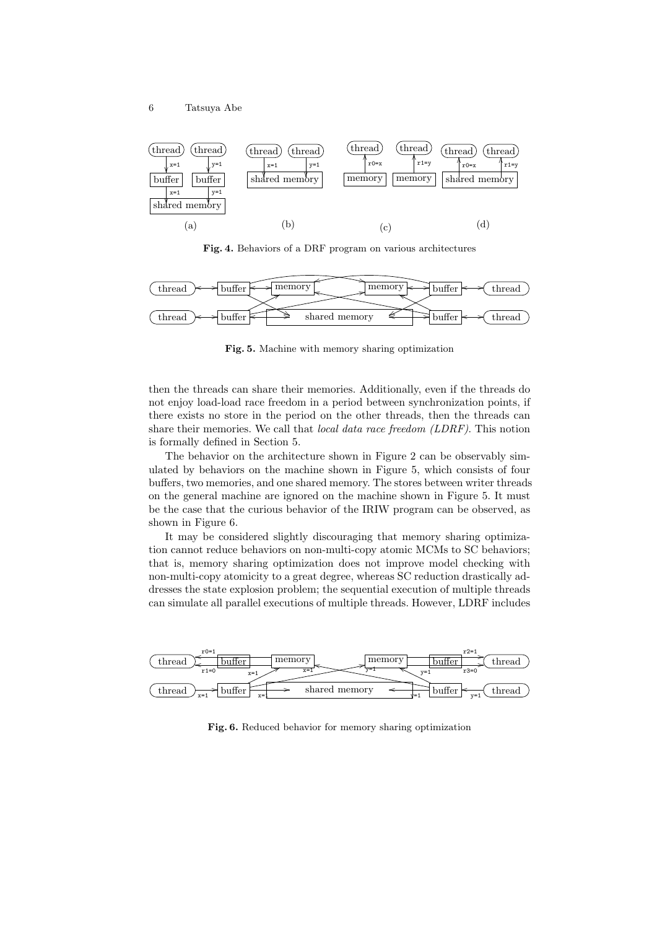

Fig. 4. Behaviors of a DRF program on various architectures



Fig. 5. Machine with memory sharing optimization

then the threads can share their memories. Additionally, even if the threads do not enjoy load-load race freedom in a period between synchronization points, if there exists no store in the period on the other threads, then the threads can share their memories. We call that local data race freedom (LDRF). This notion is formally defined in Section 5.

The behavior on the architecture shown in Figure 2 can be observably simulated by behaviors on the machine shown in Figure 5, which consists of four buffers, two memories, and one shared memory. The stores between writer threads on the general machine are ignored on the machine shown in Figure 5. It must be the case that the curious behavior of the IRIW program can be observed, as shown in Figure 6.

It may be considered slightly discouraging that memory sharing optimization cannot reduce behaviors on non-multi-copy atomic MCMs to SC behaviors; that is, memory sharing optimization does not improve model checking with non-multi-copy atomicity to a great degree, whereas SC reduction drastically addresses the state explosion problem; the sequential execution of multiple threads can simulate all parallel executions of multiple threads. However, LDRF includes



Fig. 6. Reduced behavior for memory sharing optimization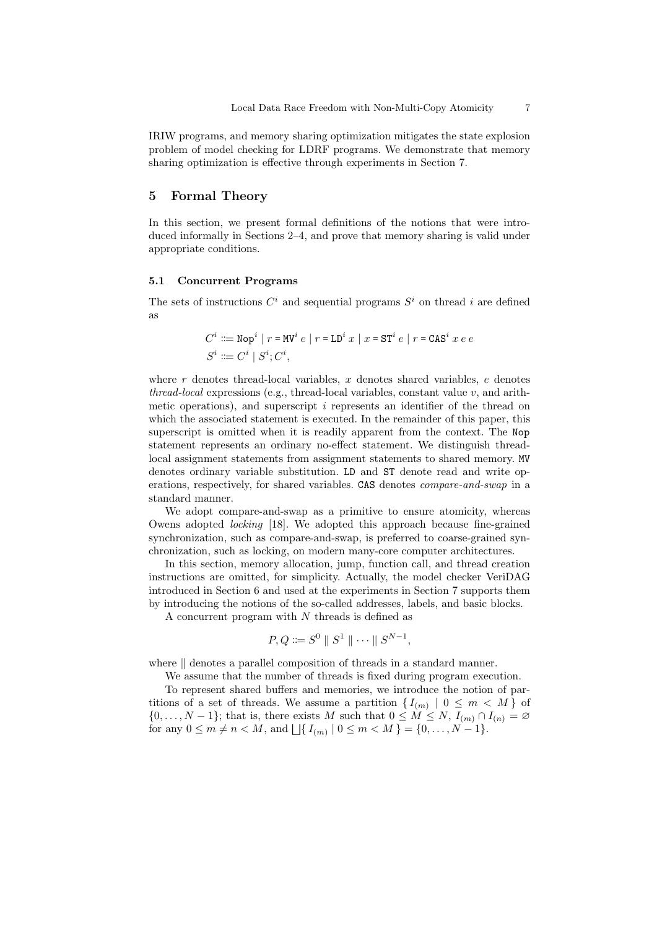IRIW programs, and memory sharing optimization mitigates the state explosion problem of model checking for LDRF programs. We demonstrate that memory sharing optimization is effective through experiments in Section 7.

## 5 Formal Theory

In this section, we present formal definitions of the notions that were introduced informally in Sections 2–4, and prove that memory sharing is valid under appropriate conditions.

#### 5.1 Concurrent Programs

The sets of instructions  $C^i$  and sequential programs  $S^i$  on thread i are defined as

$$
C^i ::= \text{Nop}^i | r = \text{MV}^i e | r = \text{LD}^i x | x = \text{ST}^i e | r = \text{CAS}^i x e e
$$
  

$$
S^i ::= C^i | S^i; C^i,
$$

where  $r$  denotes thread-local variables,  $x$  denotes shared variables,  $e$  denotes  $thread-local$  expressions (e.g., thread-local variables, constant value  $v$ , and arithmetic operations), and superscript  $i$  represents an identifier of the thread on which the associated statement is executed. In the remainder of this paper, this superscript is omitted when it is readily apparent from the context. The Nop statement represents an ordinary no-effect statement. We distinguish threadlocal assignment statements from assignment statements to shared memory. MV denotes ordinary variable substitution. LD and ST denote read and write operations, respectively, for shared variables. CAS denotes compare-and-swap in a standard manner.

We adopt compare-and-swap as a primitive to ensure atomicity, whereas Owens adopted locking [18]. We adopted this approach because fine-grained synchronization, such as compare-and-swap, is preferred to coarse-grained synchronization, such as locking, on modern many-core computer architectures.

In this section, memory allocation, jump, function call, and thread creation instructions are omitted, for simplicity. Actually, the model checker VeriDAG introduced in Section 6 and used at the experiments in Section 7 supports them by introducing the notions of the so-called addresses, labels, and basic blocks.

A concurrent program with  $N$  threads is defined as

$$
P, Q ::= S^0 \parallel S^1 \parallel \cdots \parallel S^{N-1},
$$

where  $\parallel$  denotes a parallel composition of threads in a standard manner.

We assume that the number of threads is fixed during program execution.

To represent shared buffers and memories, we introduce the notion of partitions of a set of threads. We assume a partition  $\{I_{(m)} \mid 0 \leq m \lt M\}$  of  $\{0, \ldots, N-1\}$ ; that is, there exists M such that  $0 \leq M \leq N$ ,  $I_{(m)} \cap I_{(n)} = \emptyset$ for any  $0 \le m \ne n < M$ , and  $\bigcup \{ I_{(m)} \mid 0 \le m < M \} = \{0, \ldots, N - 1\}.$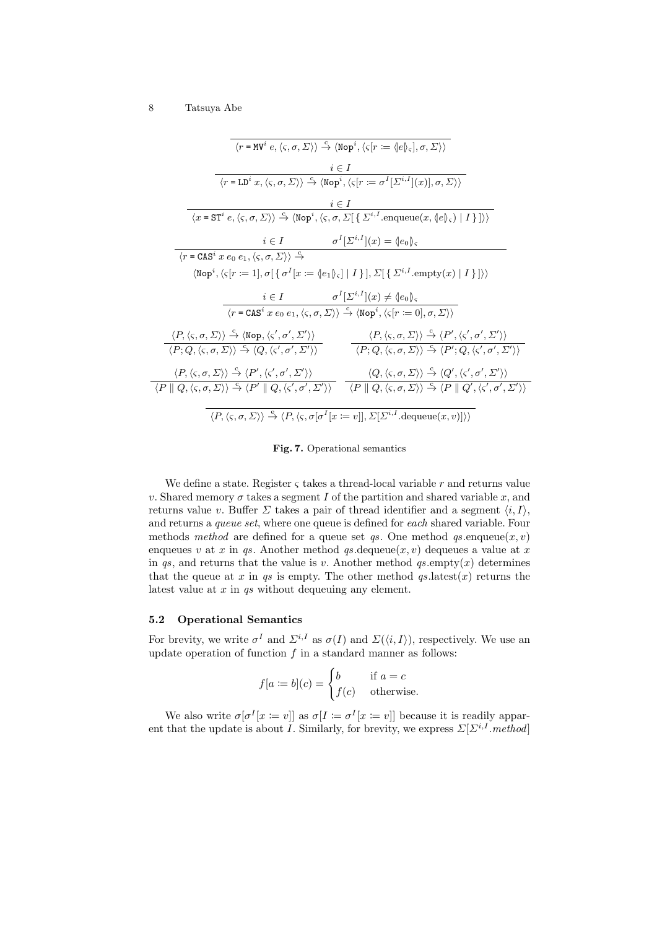| $\langle r = MV^i e, \langle \varsigma, \sigma, \Sigma \rangle \rangle \stackrel{c}{\rightarrow} \langle \text{Nop}^i, \langle \varsigma   r := \langle  e  \rangle_{\varsigma}  , \sigma, \Sigma \rangle \rangle$                                                                                                                                                  |  |  |  |  |  |  |  |  |  |
|---------------------------------------------------------------------------------------------------------------------------------------------------------------------------------------------------------------------------------------------------------------------------------------------------------------------------------------------------------------------|--|--|--|--|--|--|--|--|--|
| $i \in I$                                                                                                                                                                                                                                                                                                                                                           |  |  |  |  |  |  |  |  |  |
| $\langle r = L\mathsf{D}^i x, \langle \varsigma, \sigma, \Sigma \rangle \rangle \stackrel{\mathsf{c}}{\rightarrow} \langle \mathsf{Nop}^i, \langle \varsigma [r := \sigma^I[\Sigma^{i,I}](x)], \sigma, \Sigma \rangle \rangle$                                                                                                                                      |  |  |  |  |  |  |  |  |  |
| $i \in I$                                                                                                                                                                                                                                                                                                                                                           |  |  |  |  |  |  |  |  |  |
| $\langle x = ST^i e, \langle \varsigma, \sigma, \Sigma \rangle \rangle \stackrel{c}{\rightarrow} \langle \text{Nop}^i, \langle \varsigma, \sigma, \Sigma   \{ \Sigma^{i,I}.\text{enqueue}(x,\langle e \rangle_{\varsigma})   I \}   \rangle \rangle$                                                                                                                |  |  |  |  |  |  |  |  |  |
| $\sigma^I[\Sigma^{i,I}](x) = \langle e_0 \rangle_{\varsigma}$<br>$i \in I$                                                                                                                                                                                                                                                                                          |  |  |  |  |  |  |  |  |  |
| $\langle r = \text{CAS}^i x e_0 e_1, \langle \varsigma, \sigma, \Sigma \rangle \rangle \stackrel{c}{\rightarrow}$                                                                                                                                                                                                                                                   |  |  |  |  |  |  |  |  |  |
| $\langle \text{Nop}^i, \langle \varsigma   r := 1], \sigma \big[ \{ \sigma^I   x := \langle e_1   \rangle,   I \} \big], \Sigma \big[ \{ \Sigma^{i,I}.empty(x)   I \} \big] \rangle \rangle$                                                                                                                                                                        |  |  |  |  |  |  |  |  |  |
| $i \in I$ $\sigma^I[\Sigma^{i,I}](x) \neq \langle e_0 \rangle_{\varsigma}$                                                                                                                                                                                                                                                                                          |  |  |  |  |  |  |  |  |  |
| $\langle r = \text{CAS}^i x e_0 e_1, \langle \varsigma, \sigma, \Sigma \rangle \rangle \stackrel{c}{\rightarrow} \langle \text{Nop}^i, \langle \varsigma   r := 0  , \sigma, \Sigma \rangle \rangle$                                                                                                                                                                |  |  |  |  |  |  |  |  |  |
| $\langle P, \langle \varsigma, \sigma, \Sigma \rangle \rangle \stackrel{c}{\rightarrow} \langle P', \langle \varsigma', \sigma', \Sigma' \rangle \rangle$<br>$\langle P, \langle \varsigma, \sigma, \Sigma \rangle \rangle \stackrel{\varsigma}{\rightarrow} \langle \text{Nop}, \langle \varsigma', \sigma', \Sigma' \rangle \rangle$                              |  |  |  |  |  |  |  |  |  |
| $\langle P; Q, \langle \varsigma, \sigma, \Sigma \rangle \rangle \stackrel{c}{\rightarrow} \langle P'; Q, \langle \varsigma', \sigma', \Sigma' \rangle \rangle$<br>$\langle P; Q, \langle \varsigma, \sigma, \Sigma \rangle \rangle \stackrel{c}{\rightarrow} \langle Q, \langle \varsigma', \sigma', \Sigma' \rangle \rangle$                                      |  |  |  |  |  |  |  |  |  |
| $\langle P, \langle \varsigma, \sigma, \Sigma \rangle \rangle \stackrel{\sim}{\rightarrow} \langle P', \langle \varsigma', \sigma', \Sigma' \rangle \rangle$<br>$\langle Q, \langle \varsigma, \sigma, \Sigma \rangle \rangle \rightarrow \langle Q', \langle \varsigma', \sigma', \Sigma' \rangle \rangle$                                                         |  |  |  |  |  |  |  |  |  |
| $\langle P \parallel Q, \langle \varsigma, \sigma, \Sigma \rangle \rangle \stackrel{c}{\rightarrow} \langle P' \parallel Q, \langle \varsigma', \sigma', \Sigma' \rangle \rangle$ $\langle P \parallel Q, \langle \varsigma, \sigma, \Sigma \rangle \rangle \stackrel{c}{\rightarrow} \langle P \parallel Q', \langle \varsigma', \sigma', \Sigma' \rangle \rangle$ |  |  |  |  |  |  |  |  |  |
| $\langle P, \langle \varsigma, \sigma, \Sigma \rangle \rangle \stackrel{e}{\rightarrow} \langle P, \langle \varsigma, \sigma   \sigma^I   x := v \rangle  , \Sigma   \Sigma^{i, I}.$ dequeue $(x, v) \rangle$                                                                                                                                                       |  |  |  |  |  |  |  |  |  |

Fig. 7. Operational semantics

We define a state. Register  $\varsigma$  takes a thread-local variable r and returns value v. Shared memory  $\sigma$  takes a segment I of the partition and shared variable x, and returns value v. Buffer  $\Sigma$  takes a pair of thread identifier and a segment  $\langle i, I \rangle$ , and returns a queue set, where one queue is defined for each shared variable. Four methods method are defined for a queue set qs. One method  $q_s$  enqueue $(x, v)$ enqueues v at x in qs. Another method qs.dequeue $(x, v)$  dequeues a value at x in qs, and returns that the value is v. Another method  $q_s$  empty $(x)$  determines that the queue at x in qs is empty. The other method  $qs.latest(x)$  returns the latest value at x in qs without dequeuing any element.

## 5.2 Operational Semantics

For brevity, we write  $\sigma^I$  and  $\Sigma^{i,I}$  as  $\sigma(I)$  and  $\Sigma(\langle i,I \rangle)$ , respectively. We use an update operation of function  $f$  in a standard manner as follows:

$$
f[a := b](c) = \begin{cases} b & \text{if } a = c \\ f(c) & \text{otherwise.} \end{cases}
$$

We also write  $\sigma[\sigma^I[x := v]]$  as  $\sigma[I := \sigma^I[x := v]]$  because it is readily apparent that the update is about *I*. Similarly, for brevity, we express  $\Sigma[\Sigma^{i,I}.method]$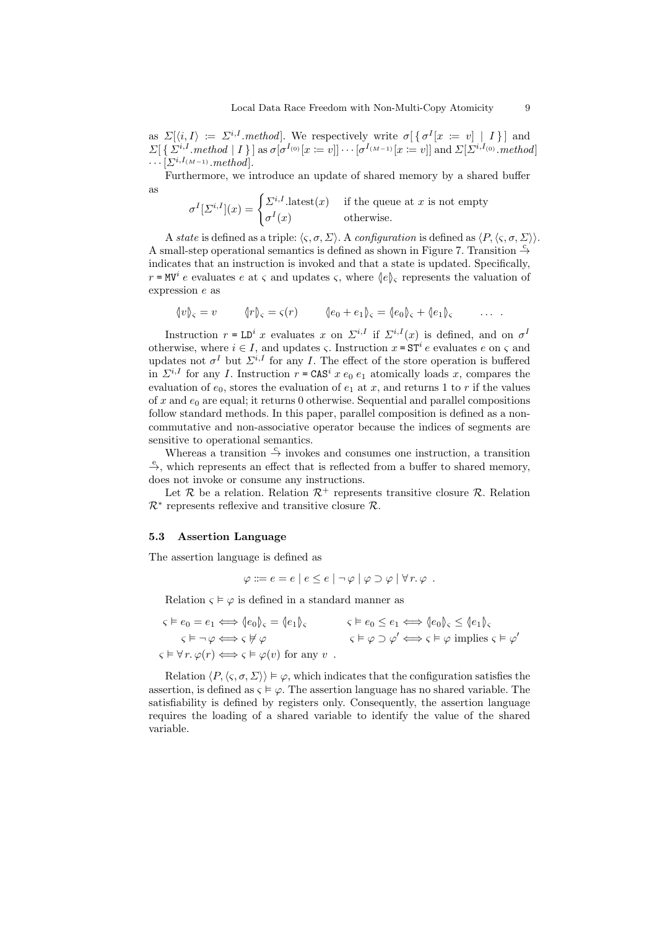as  $\Sigma[\langle i,I \rangle] \coloneqq \Sigma^{i,I}$ . *method*. We respectively write  $\sigma[\{\sigma^I[x := v] \mid I\}]$  and  $\Sigma[\{\Sigma^{i,I}.method \mid I\}]$  as  $\sigma[\sigma^{I_{(0)}}[x = v]] \cdots [\sigma^{I_{(M-1)}}[x = v]]$  and  $\Sigma[\Sigma^{i,I_{(0)}}.method]$  $\cdots[\varSigma^{i,I_{(M-1)}}.method].$ 

Furthermore, we introduce an update of shared memory by a shared buffer as

$$
\sigma^{I}[\Sigma^{i,I}](x) = \begin{cases} \Sigma^{i,I}.\text{latest}(x) & \text{if the queue at } x \text{ is not empty} \\ \sigma^{I}(x) & \text{otherwise.} \end{cases}
$$

A state is defined as a triple:  $\langle \zeta, \sigma, \Sigma \rangle$ . A configuration is defined as  $\langle P, \langle \zeta, \sigma, \Sigma \rangle \rangle$ . A small-step operational semantics is defined as shown in Figure 7. Transition  $\frac{c}{r}$ indicates that an instruction is invoked and that a state is updated. Specifically,  $r = \text{MV}^i$  e evaluates e at  $\varsigma$  and updates  $\varsigma$ , where  $\langle e \rangle_{\varsigma}$  represents the valuation of expression e as

$$
\langle v \rangle_{\varsigma} = v \qquad \langle r \rangle_{\varsigma} = \varsigma(r) \qquad \langle e_0 + e_1 \rangle_{\varsigma} = \langle e_0 \rangle_{\varsigma} + \langle e_1 \rangle_{\varsigma} \qquad \dots \; .
$$

Instruction  $r = LD^i x$  evaluates x on  $\Sigma^{i,I}$  if  $\Sigma^{i,I}(x)$  is defined, and on  $\sigma^I$ otherwise, where  $i \in I$ , and updates  $\varsigma$ . Instruction  $x = \mathsf{ST}^i e$  evaluates  $e$  on  $\varsigma$  and updates not  $\sigma^I$  but  $\Sigma^{i,I}$  for any I. The effect of the store operation is buffered in  $\Sigma^{i,I}$  for any I. Instruction  $r = \text{CAS}^i x e_0 e_1$  atomically loads x, compares the evaluation of  $e_0$ , stores the evaluation of  $e_1$  at x, and returns 1 to r if the values of x and  $e_0$  are equal; it returns 0 otherwise. Sequential and parallel compositions follow standard methods. In this paper, parallel composition is defined as a noncommutative and non-associative operator because the indices of segments are sensitive to operational semantics.

Whereas a transition  $\stackrel{c}{\rightarrow}$  invokes and consumes one instruction, a transition  $\stackrel{e}{\rightarrow}$ , which represents an effect that is reflected from a buffer to shared memory, does not invoke or consume any instructions.

Let  $\mathcal R$  be a relation. Relation  $\mathcal R^+$  represents transitive closure  $\mathcal R$ . Relation  $\mathcal{R}^*$  represents reflexive and transitive closure  $\mathcal{R}$ .

#### 5.3 Assertion Language

The assertion language is defined as

$$
\varphi ::= e = e \mid e \leq e \mid \neg \varphi \mid \varphi \supset \varphi \mid \forall r.\,\varphi \; .
$$

Relation  $\varsigma \models \varphi$  is defined in a standard manner as

$$
\begin{aligned}\n\varsigma \vDash e_0 &= e_1 \Longleftrightarrow \langle e_0 \rangle_{\varsigma} = \langle e_1 \rangle_{\varsigma} & \varsigma \vDash e_0 \le e_1 \Longleftrightarrow \langle e_0 \rangle_{\varsigma} \le \langle e_1 \rangle_{\varsigma} \\
\varsigma \vDash \neg \varphi \Longleftrightarrow \varsigma \nvDash \varphi & \varsigma \vDash \varphi \supset \varphi' \Longleftrightarrow \varsigma \vDash \varphi \text{ implies } \varsigma \vDash \varphi' \\
\varsigma \vDash \forall r. \varphi(r) \Longleftrightarrow \varsigma \vDash \varphi(v) \text{ for any } v\n\end{aligned}
$$

Relation  $\langle P, \langle \varsigma, \sigma, \Sigma \rangle \rangle \models \varphi$ , which indicates that the configuration satisfies the assertion, is defined as  $\varsigma \models \varphi$ . The assertion language has no shared variable. The satisfiability is defined by registers only. Consequently, the assertion language requires the loading of a shared variable to identify the value of the shared variable.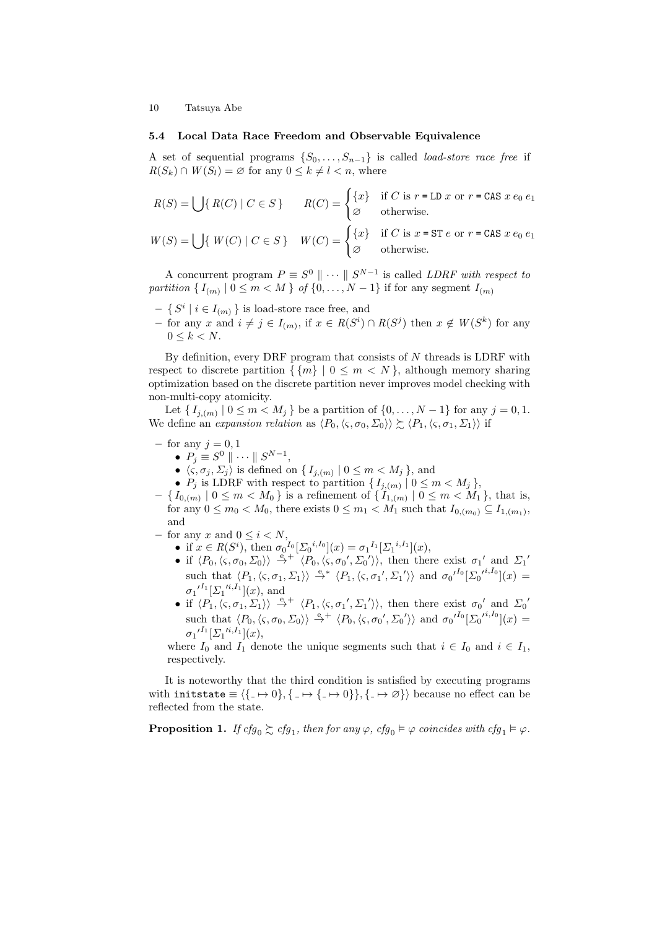#### 5.4 Local Data Race Freedom and Observable Equivalence

A set of sequential programs  $\{S_0, \ldots, S_{n-1}\}\$ is called *load-store race free* if  $R(S_k) \cap W(S_l) = \emptyset$  for any  $0 \leq k \neq l < n$ , where

$$
R(S) = \bigcup \{ R(C) \mid C \in S \} \qquad R(C) = \begin{cases} \{x\} & \text{if } C \text{ is } r = \text{LD } x \text{ or } r = \text{CAS } x \neq 0, \\ \varnothing & \text{otherwise.} \end{cases}
$$

$$
W(S) = \bigcup \{ W(C) \mid C \in S \} \quad W(C) = \begin{cases} \{x\} & \text{if } C \text{ is } x \in \text{ST } e \text{ or } r = \text{CAS } x \, e_0 \, e_1 \\ \varnothing & \text{otherwise.} \end{cases}
$$

A concurrent program  $P \equiv S^0 \parallel \cdots \parallel S^{N-1}$  is called *LDRF with respect to* partition  $\{I_{(m)} | 0 \leq m < M\}$  of  $\{0, \ldots, N-1\}$  if for any segment  $I_{(m)}$ 

- $\{ S^i \mid i \in I_{(m)} \}$  is load-store race free, and
- − for any x and  $i \neq j \in I_{(m)}$ , if  $x \in R(S<sup>i</sup>) \cap R(S<sup>j</sup>)$  then  $x \notin W(S<sup>k</sup>)$  for any  $0 \leq k < N$ .

By definition, every DRF program that consists of  $N$  threads is LDRF with respect to discrete partition  $\{m\}$  | 0  $\leq m < N$  }, although memory sharing optimization based on the discrete partition never improves model checking with non-multi-copy atomicity.

Let  $\{I_{j,(m)} | 0 \leq m < M_j \}$  be a partition of  $\{0, \ldots, N-1\}$  for any  $j = 0, 1$ . We define an expansion relation as  $\langle P_0,\langle \varsigma,\sigma_0,\Sigma_0\rangle\rangle \gtrsim \langle P_1,\langle \varsigma,\sigma_1,\Sigma_1\rangle\rangle$  if

- for any  $j = 0, 1$ 
	- $P_j \equiv S^0 \parallel \cdots \parallel S^{N-1},$
	- $\langle \varsigma, \sigma_j, \Sigma_j \rangle$  is defined on  $\{ I_{j,(m)} \mid 0 \leq m < M_j \}$ , and
	- $P_j$  is LDRF with respect to partition  $\{I_{j,(m)} | 0 \leq m < M_j\}$ ,
- $\{ I_{0,(m)} | 0 \leq m < M_0 \}$  is a refinement of  $\{ I_{1,(m)} | 0 \leq m < M_1 \}$ , that is, for any  $0 \leq m_0 < M_0$ , there exists  $0 \leq m_1 < M_1$  such that  $I_{0,(m_0)} \subseteq I_{1,(m_1)}$ , and
- for any x and  $0 \leq i \leq N$ ,
	- if  $x \in R(S^i)$ , then  $\sigma_0^{I_0}[\Sigma_0^{i,I_0}](x) = \sigma_1^{I_1}[\Sigma_1^{i,I_1}](x)$ ,
	- if  $\langle P_0, \langle \varsigma, \sigma_0, \Sigma_0 \rangle \rangle \stackrel{e}{\rightarrow}^+ \langle P_0, \langle \varsigma, \sigma_0', \Sigma_0' \rangle \rangle$ , then there exist  $\sigma_1$ ' and  $\Sigma_1$ ' such that  $\langle P_1,\langle \varsigma,\sigma_1,\Sigma_1\rangle\rangle \stackrel{e}{\rightarrow}^* \langle P_1,\langle \varsigma,\sigma_1',\Sigma_1'\rangle\rangle$  and  ${\sigma_0'}^{I_0}[\Sigma_0^{\prime^{i,I_0}}](x) =$  ${\sigma_1'}^{I_1} [\Sigma_1^{\prime i,I_1}](x)$ , and
	- if  $\langle P_1,\langle \varsigma,\sigma_1,\Sigma_1 \rangle \rangle \stackrel{e}{\rightarrow}^+ \langle P_1,\langle \varsigma,\sigma_1',\Sigma_1' \rangle \rangle$ , then there exist  $\sigma_0'$  and  $\Sigma_0'$ such that  $\langle P_0,\langle \varsigma,\sigma_0,\Sigma_0\rangle\rangle \stackrel{e}{\rightarrow} \langle P_0,\langle \varsigma,\sigma_0',\Sigma_0'\rangle\rangle$  and  ${\sigma_0'}^{I_0}[\Sigma_0^{\prime i,I_0}](x) =$  ${\sigma_1'}^{I_1} [\Sigma_1'{}^{i,I_1}](x),$

where  $I_0$  and  $I_1$  denote the unique segments such that  $i \in I_0$  and  $i \in I_1$ , respectively.

It is noteworthy that the third condition is satisfied by executing programs with initstate  $\equiv \langle \{ \rightarrow 0 \}, \{ \rightarrow \rightarrow \} \rangle, \{ \rightarrow \emptyset \} \rangle$  because no effect can be reflected from the state.

**Proposition 1.** If  $cfg_0 \succsim cfg_1$ , then for any  $\varphi$ ,  $cfg_0 \models \varphi$  coincides with  $cfg_1 \models \varphi$ .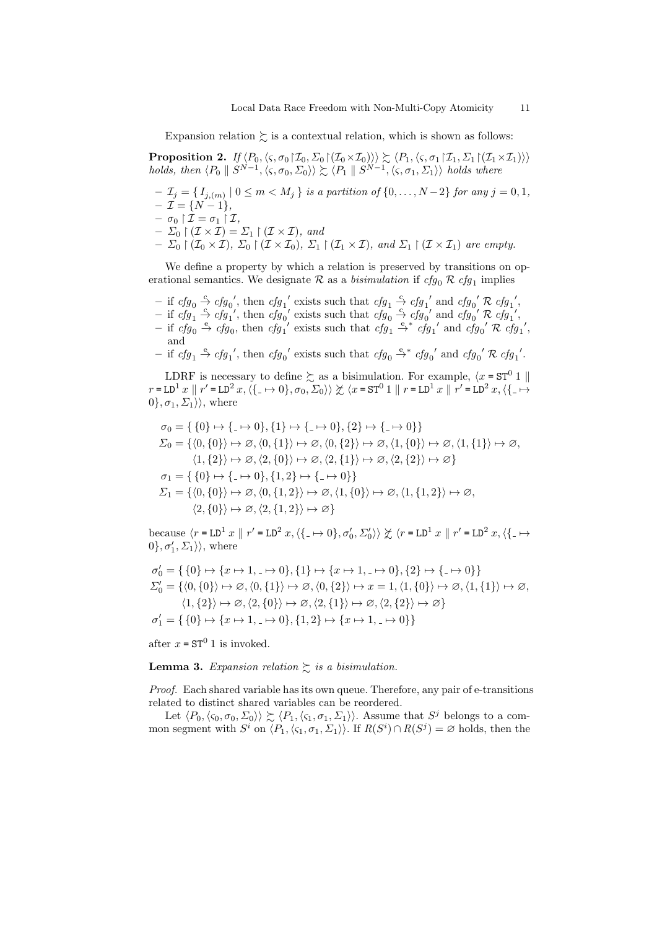Expansion relation  $\succsim$  is a contextual relation, which is shown as follows:

**Proposition 2.** If  $\langle P_0,\langle \varsigma, \sigma_0 | \mathcal{I}_0, \Sigma_0 | (\mathcal{I}_0 \times \mathcal{I}_0) \rangle \rangle \succsim \langle P_1,\langle \varsigma, \sigma_1 | \mathcal{I}_1, \Sigma_1 | (\mathcal{I}_1 \times \mathcal{I}_1) \rangle \rangle$ holds, then  $\langle P_0 \parallel S^{N-1}, \langle \varsigma, \sigma_0, \Sigma_0 \rangle \rangle \succsim \langle P_1 \parallel S^{N-1}, \langle \varsigma, \sigma_1, \Sigma_1 \rangle \rangle$  holds where

 $\mathcal{I}_j = \{I_{j,(m)} \mid 0 \leq m < M_j \}$  is a partition of  $\{0,\ldots,N-2\}$  for any  $j=0,1,$  $- \mathcal{I} = \{N-1\},\$ 

- $\sigma_0 \upharpoonright \mathcal{I} = \sigma_1 \upharpoonright \mathcal{I},$
- $-\Sigma_0 \upharpoonright (\mathcal{I} \times \mathcal{I}) = \Sigma_1 \upharpoonright (\mathcal{I} \times \mathcal{I}),$  and
- $\Sigma_0 \restriction (\mathcal{I}_0 \times \mathcal{I}), \Sigma_0 \restriction (\mathcal{I} \times \mathcal{I}_0), \Sigma_1 \restriction (\mathcal{I}_1 \times \mathcal{I}), \text{ and } \Sigma_1 \restriction (\mathcal{I} \times \mathcal{I}_1) \text{ are empty.}$

We define a property by which a relation is preserved by transitions on operational semantics. We designate  $\mathcal R$  as a *bisimulation* if  $cfg_0 \mathcal R$   $cfg_1$  implies

- if  $cfg_0 \stackrel{c}{\rightarrow} cfg_0'$ , then  $cfg_1'$  exists such that  $cfg_1 \stackrel{c}{\rightarrow} cfg_1'$  and  $cfg_0' \mathcal{R} cfg_1'$ ,
- if  $cfg_1 \stackrel{c}{\rightarrow} cfg_1'$ , then  $cfg_0'$  exists such that  $cfg_0 \stackrel{c}{\rightarrow} cfg_0'$  and  $cfg_0' \mathcal{R} cfg_1'$ ,
- if  $cfg_0 \stackrel{e}{\rightarrow} cfg_0$ , then  $cfg_1'$  exists such that  $cfg_1 \stackrel{e}{\rightarrow} cfg_1'$  and  $cfg_0' \stackrel{\sim}{\sim} cfg_1'$ , and

− if  $cfg_1 \stackrel{e}{\rightarrow} cfg_1'$ , then  $cfg_0'$  exists such that  $cfg_0 \stackrel{e}{\rightarrow} cfg_0'$  and  $cfg_0' \mathcal{R} cfg_1'$ .

LDRF is necessary to define  $\gtrsim$  as a bisimulation. For example,  $\langle x = ST^0 1 |$  $r = \text{LD}^1 x \parallel r' = \text{LD}^2 x, \langle \{- \mapsto 0\}, \sigma_0, \Sigma_0 \rangle \rangle \not\subset \langle x = \text{ST}^0 1 \parallel r = \text{LD}^1 x \parallel r' = \text{LD}^2 x, \langle \{- \mapsto \} \rangle$  $0\}, \sigma_1, \Sigma_1 \rangle$ , where

$$
\sigma_0 = \{ \{0\} \mapsto \{-\mapsto 0\}, \{1\} \mapsto \{-\mapsto 0\}, \{2\} \mapsto \{-\mapsto 0\} \}
$$
  
\n
$$
\Sigma_0 = \{ \langle 0, \{0\} \rangle \mapsto \varnothing, \langle 0, \{1\} \rangle \mapsto \varnothing, \langle 0, \{2\} \rangle \mapsto \varnothing, \langle 1, \{0\} \rangle \mapsto \varnothing, \langle 1, \{1\} \rangle \mapsto \varnothing,
$$
  
\n
$$
\langle 1, \{2\} \rangle \mapsto \varnothing, \langle 2, \{0\} \rangle \mapsto \varnothing, \langle 2, \{1\} \rangle \mapsto \varnothing, \langle 2, \{2\} \rangle \mapsto \varnothing \}
$$
  
\n
$$
\sigma_1 = \{ \{0\} \mapsto \{-\mapsto 0\}, \{1, 2\} \mapsto \{-\mapsto 0\} \}
$$
  
\n
$$
\Sigma_1 = \{ \langle 0, \{0\} \rangle \mapsto \varnothing, \langle 0, \{1, 2\} \rangle \mapsto \varnothing, \langle 1, \{0\} \rangle \mapsto \varnothing, \langle 1, \{1, 2\} \rangle \mapsto \varnothing,
$$
  
\n
$$
\langle 2, \{0\} \rangle \mapsto \varnothing, \langle 2, \{1, 2\} \rangle \mapsto \varnothing \}
$$

because  $\langle r = \text{LD}^1 x \parallel r' = \text{LD}^2 x, \langle \{- \mapsto 0\}, \sigma'_0, \Sigma'_0 \rangle \rangle \not\subset \langle r = \text{LD}^1 x \parallel r' = \text{LD}^2 x, \langle \{- \mapsto \} \rangle$  $0\}, \sigma'_1, \Sigma_1 \rangle$ , where

$$
\begin{aligned} &\sigma'_0 = \{\ \{0\} \mapsto \{x \mapsto 1, \_\rightarrow 0\}, \{1\} \mapsto \{x \mapsto 1, \_\rightarrow 0\}, \{2\} \mapsto \{- \mapsto 0\} \} \\ &\Sigma'_0 = \{\langle 0, \{0\} \rangle \mapsto \varnothing, \langle 0, \{1\} \rangle \mapsto \varnothing, \langle 0, \{2\} \rangle \mapsto x = 1, \langle 1, \{0\} \rangle \mapsto \varnothing, \langle 1, \{1\} \rangle \mapsto \varnothing, \\ &\langle 1, \{2\} \rangle \mapsto \varnothing, \langle 2, \{0\} \rangle \mapsto \varnothing, \langle 2, \{1\} \rangle \mapsto \varnothing, \langle 2, \{2\} \rangle \mapsto \varnothing \} \\ &\sigma'_1 = \{\ \{0\} \mapsto \{x \mapsto 1, \_\rightarrow 0\}, \{1,2\} \mapsto \{x \mapsto 1, \_\rightarrow 0\} \} \end{aligned}
$$

after  $x = ST^0 1$  is invoked.

**Lemma 3.** Expansion relation  $\sum$  is a bisimulation.

Proof. Each shared variable has its own queue. Therefore, any pair of e-transitions related to distinct shared variables can be reordered.

Let  $\langle P_0, \langle \varsigma_0, \sigma_0, \Sigma_0 \rangle \rangle \succsim \langle P_1, \langle \varsigma_1, \sigma_1, \Sigma_1 \rangle \rangle$ . Assume that  $S^j$  belongs to a common segment with  $S^i$  on  $\langle P_1,\langle \varsigma_1,\sigma_1,\Sigma_1\rangle\rangle$ . If  $R(S^i)\cap R(S^j)=\emptyset$  holds, then the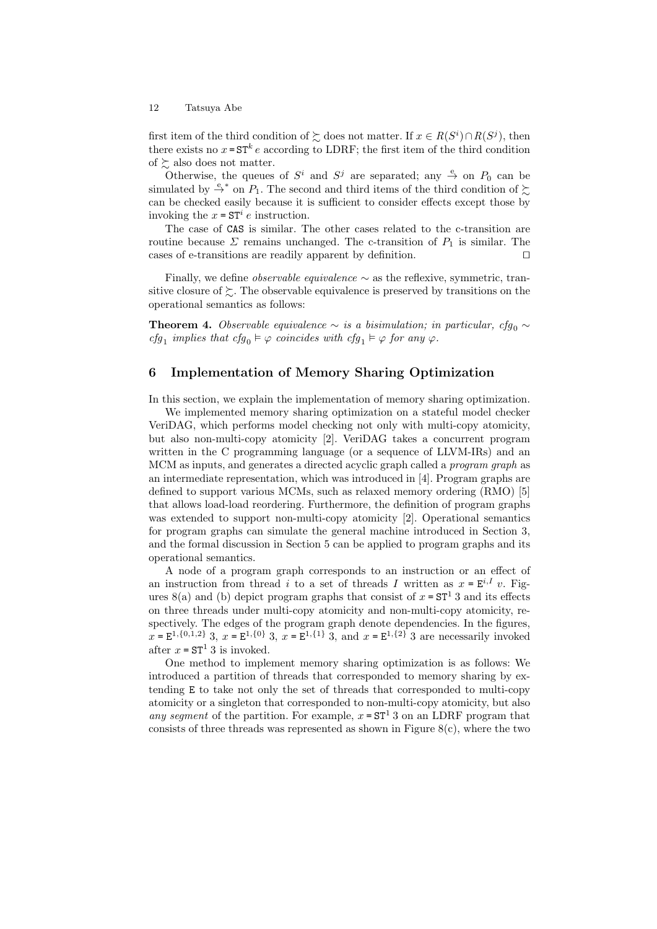first item of the third condition of  $\succsim$  does not matter. If  $x \in R(S^i) \cap R(S^j)$ , then there exists no  $x = ST^k e$  according to LDRF; the first item of the third condition of  $\geq$  also does not matter.

Otherwise, the queues of  $S^i$  and  $S^j$  are separated; any  $\stackrel{e}{\rightarrow}$  on  $P_0$  can be simulated by  $\stackrel{e}{\rightarrow}^*$  on  $P_1$ . The second and third items of the third condition of  $\succ$ can be checked easily because it is sufficient to consider effects except those by invoking the  $x = ST^i e$  instruction.

The case of CAS is similar. The other cases related to the c-transition are routine because  $\Sigma$  remains unchanged. The c-transition of  $P_1$  is similar. The cases of e-transitions are readily apparent by definition.  $\Box$ 

Finally, we define *observable equivalence*  $\sim$  as the reflexive, symmetric, transitive closure of  $\succsim$ . The observable equivalence is preserved by transitions on the operational semantics as follows:

**Theorem 4.** Observable equivalence  $\sim$  is a bisimulation; in particular, cfg<sub>0</sub>  $\sim$ cfg<sub>1</sub> implies that cfg<sub>0</sub>  $\models \varphi$  coincides with cfg<sub>1</sub>  $\models \varphi$  for any  $\varphi$ .

## 6 Implementation of Memory Sharing Optimization

In this section, we explain the implementation of memory sharing optimization.

We implemented memory sharing optimization on a stateful model checker VeriDAG, which performs model checking not only with multi-copy atomicity, but also non-multi-copy atomicity [2]. VeriDAG takes a concurrent program written in the C programming language (or a sequence of LLVM-IRs) and an MCM as inputs, and generates a directed acyclic graph called a program graph as an intermediate representation, which was introduced in [4]. Program graphs are defined to support various MCMs, such as relaxed memory ordering (RMO) [5] that allows load-load reordering. Furthermore, the definition of program graphs was extended to support non-multi-copy atomicity [2]. Operational semantics for program graphs can simulate the general machine introduced in Section 3, and the formal discussion in Section 5 can be applied to program graphs and its operational semantics.

A node of a program graph corresponds to an instruction or an effect of an instruction from thread i to a set of threads I written as  $x = E^{i,I} v$ . Figures 8(a) and (b) depict program graphs that consist of  $x = ST<sup>1</sup>$  3 and its effects on three threads under multi-copy atomicity and non-multi-copy atomicity, respectively. The edges of the program graph denote dependencies. In the figures,  $x = E^{1, \{0,1,2\}}$  3,  $x = E^{1,\{0\}}$  3,  $x = E^{1,\{1\}}$  3, and  $x = E^{1,\{2\}}$  3 are necessarily invoked after  $x = ST^1 3$  is invoked.

One method to implement memory sharing optimization is as follows: We introduced a partition of threads that corresponded to memory sharing by extending E to take not only the set of threads that corresponded to multi-copy atomicity or a singleton that corresponded to non-multi-copy atomicity, but also any segment of the partition. For example,  $x = ST^1 3$  on an LDRF program that consists of three threads was represented as shown in Figure  $8(c)$ , where the two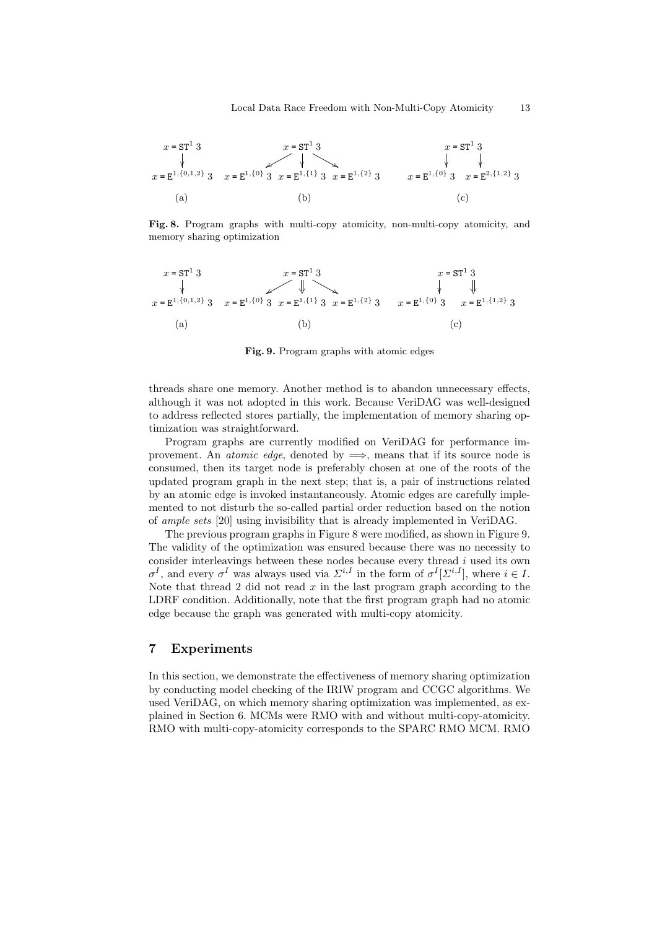

Fig. 8. Program graphs with multi-copy atomicity, non-multi-copy atomicity, and memory sharing optimization

$$
x = ST1 3
$$
  
\n
$$
x = ET1 3
$$
  
\n
$$
x = ST1 3
$$
  
\n
$$
x = ST1 3
$$
  
\n
$$
x = ST1 3
$$
  
\n
$$
x = ST1 3
$$
  
\n
$$
x = ST1 3
$$
  
\n
$$
x = ST1 3
$$
  
\n
$$
x = ET1 3
$$
  
\n
$$
x = ET1 3
$$
  
\n
$$
x = E1.(1,2) 3
$$
  
\n(a) (b) (c)

Fig. 9. Program graphs with atomic edges

threads share one memory. Another method is to abandon unnecessary effects, although it was not adopted in this work. Because VeriDAG was well-designed to address reflected stores partially, the implementation of memory sharing optimization was straightforward.

Program graphs are currently modified on VeriDAG for performance improvement. An *atomic edge*, denoted by  $\implies$ , means that if its source node is consumed, then its target node is preferably chosen at one of the roots of the updated program graph in the next step; that is, a pair of instructions related by an atomic edge is invoked instantaneously. Atomic edges are carefully implemented to not disturb the so-called partial order reduction based on the notion of ample sets [20] using invisibility that is already implemented in VeriDAG.

The previous program graphs in Figure 8 were modified, as shown in Figure 9. The validity of the optimization was ensured because there was no necessity to consider interleavings between these nodes because every thread  $i$  used its own  $\sigma^I$ , and every  $\sigma^I$  was always used via  $\Sigma^{i,I}$  in the form of  $\sigma^I[\Sigma^{i,I}]$ , where  $i \in I$ . Note that thread 2 did not read  $x$  in the last program graph according to the LDRF condition. Additionally, note that the first program graph had no atomic edge because the graph was generated with multi-copy atomicity.

# 7 Experiments

In this section, we demonstrate the effectiveness of memory sharing optimization by conducting model checking of the IRIW program and CCGC algorithms. We used VeriDAG, on which memory sharing optimization was implemented, as explained in Section 6. MCMs were RMO with and without multi-copy-atomicity. RMO with multi-copy-atomicity corresponds to the SPARC RMO MCM. RMO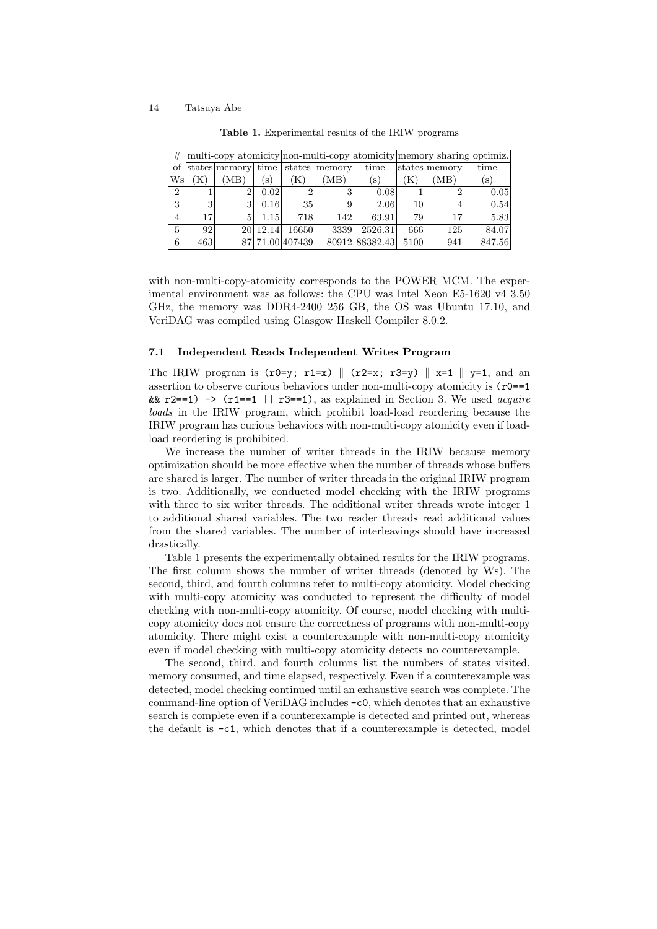| #              |     |                    |               | multi-copy atomicity non-multi-copy atomicity memory sharing optimiz. |                 |                |      |               |               |
|----------------|-----|--------------------|---------------|-----------------------------------------------------------------------|-----------------|----------------|------|---------------|---------------|
| οf             |     | states memory time |               |                                                                       | states   memory | time           |      | states memory | time          |
| Wsl            | (K) | (MB)               | $\mathbf{s})$ | (K)                                                                   | (MB)            | (S)            | 'K)  | (MB)          | $\mathbf{s})$ |
| $\overline{2}$ |     | 2                  | 0.02          |                                                                       |                 | 0.08           |      |               | 0.05          |
| 3              | 3   | 3                  | 0.16          | 35                                                                    |                 | 2.06           | 10   |               | 0.54          |
| 4              | 17  | 5                  | 1.15          | 718                                                                   | 142             | 63.91          | 79   | 17            | 5.83          |
| 5              | 92  |                    | 20 12.14      | 16650                                                                 | 3339            | 2526.31        | 666  | 125           | 84.07         |
| 6              | 463 |                    |               | 87 71.00 407439                                                       |                 | 80912 88382.43 | 5100 | 941           | 847.56        |

Table 1. Experimental results of the IRIW programs

with non-multi-copy-atomicity corresponds to the POWER MCM. The experimental environment was as follows: the CPU was Intel Xeon E5-1620 v4 3.50 GHz, the memory was DDR4-2400 256 GB, the OS was Ubuntu 17.10, and VeriDAG was compiled using Glasgow Haskell Compiler 8.0.2.

#### 7.1 Independent Reads Independent Writes Program

The IRIW program is  $(r0=y; r1=x)$   $\parallel$   $(r2=x; r3=y)$   $\parallel$   $x=1$   $\parallel$   $y=1$ , and an assertion to observe curious behaviors under non-multi-copy atomicity is  $(r0==1)$ &&  $r2 == 1$ )  $\rightarrow$  ( $r1 == 1$  |  $r3 == 1$ ), as explained in Section 3. We used *acquire* loads in the IRIW program, which prohibit load-load reordering because the IRIW program has curious behaviors with non-multi-copy atomicity even if loadload reordering is prohibited.

We increase the number of writer threads in the IRIW because memory optimization should be more effective when the number of threads whose buffers are shared is larger. The number of writer threads in the original IRIW program is two. Additionally, we conducted model checking with the IRIW programs with three to six writer threads. The additional writer threads wrote integer 1 to additional shared variables. The two reader threads read additional values from the shared variables. The number of interleavings should have increased drastically.

Table 1 presents the experimentally obtained results for the IRIW programs. The first column shows the number of writer threads (denoted by Ws). The second, third, and fourth columns refer to multi-copy atomicity. Model checking with multi-copy atomicity was conducted to represent the difficulty of model checking with non-multi-copy atomicity. Of course, model checking with multicopy atomicity does not ensure the correctness of programs with non-multi-copy atomicity. There might exist a counterexample with non-multi-copy atomicity even if model checking with multi-copy atomicity detects no counterexample.

The second, third, and fourth columns list the numbers of states visited, memory consumed, and time elapsed, respectively. Even if a counterexample was detected, model checking continued until an exhaustive search was complete. The command-line option of VeriDAG includes -c0, which denotes that an exhaustive search is complete even if a counterexample is detected and printed out, whereas the default is -c1, which denotes that if a counterexample is detected, model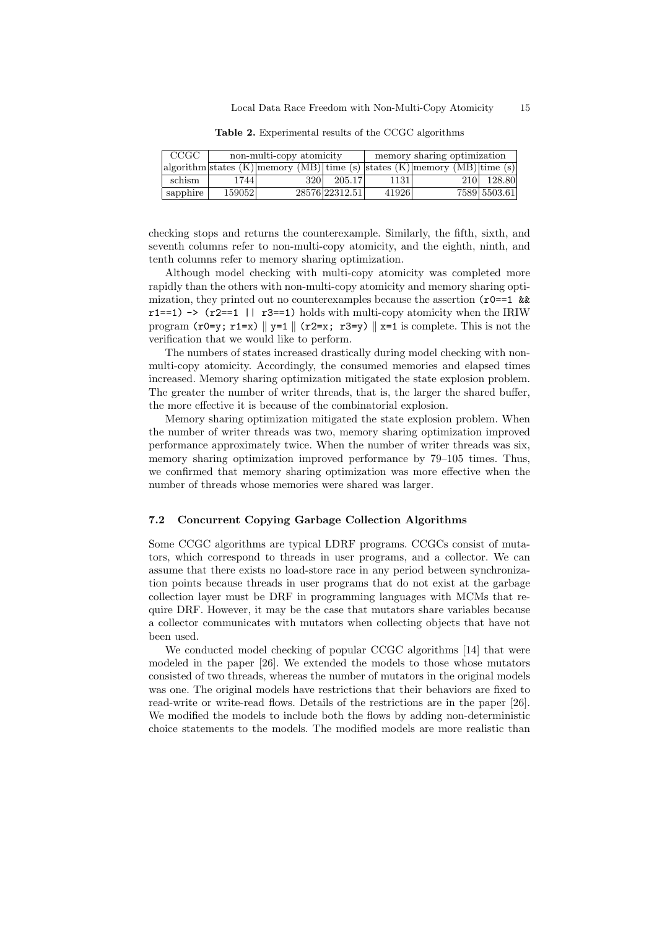| CCGC     |        | non-multi-copy atomicity                                                           |                | memory sharing optimization |                   |              |  |
|----------|--------|------------------------------------------------------------------------------------|----------------|-----------------------------|-------------------|--------------|--|
|          |        | $\alpha$ algorithm states (K) memory (MB) time (s) states (K) memory (MB) time (s) |                |                             |                   |              |  |
| schism   | 17441  | 320                                                                                | 205.17         | 1131                        | 210 <sup>-1</sup> | 128.80       |  |
| sapphire | 159052 |                                                                                    | 28576 22312.51 | 41926                       |                   | 7589 5503.61 |  |

Table 2. Experimental results of the CCGC algorithms

checking stops and returns the counterexample. Similarly, the fifth, sixth, and seventh columns refer to non-multi-copy atomicity, and the eighth, ninth, and tenth columns refer to memory sharing optimization.

Although model checking with multi-copy atomicity was completed more rapidly than the others with non-multi-copy atomicity and memory sharing optimization, they printed out no counterexamples because the assertion  $(r0==1 \&$  $r1 == 1$ )  $\rightarrow$  ( $r2 == 1$  | |  $r3 == 1$ ) holds with multi-copy atomicity when the IRIW program  $(r0=y; r1=x)$   $\parallel$   $y=1$   $\parallel$   $(r2=x; r3=y)$   $\parallel$   $x=1$  is complete. This is not the verification that we would like to perform.

The numbers of states increased drastically during model checking with nonmulti-copy atomicity. Accordingly, the consumed memories and elapsed times increased. Memory sharing optimization mitigated the state explosion problem. The greater the number of writer threads, that is, the larger the shared buffer, the more effective it is because of the combinatorial explosion.

Memory sharing optimization mitigated the state explosion problem. When the number of writer threads was two, memory sharing optimization improved performance approximately twice. When the number of writer threads was six, memory sharing optimization improved performance by 79–105 times. Thus, we confirmed that memory sharing optimization was more effective when the number of threads whose memories were shared was larger.

#### 7.2 Concurrent Copying Garbage Collection Algorithms

Some CCGC algorithms are typical LDRF programs. CCGCs consist of mutators, which correspond to threads in user programs, and a collector. We can assume that there exists no load-store race in any period between synchronization points because threads in user programs that do not exist at the garbage collection layer must be DRF in programming languages with MCMs that require DRF. However, it may be the case that mutators share variables because a collector communicates with mutators when collecting objects that have not been used.

We conducted model checking of popular CCGC algorithms [14] that were modeled in the paper [26]. We extended the models to those whose mutators consisted of two threads, whereas the number of mutators in the original models was one. The original models have restrictions that their behaviors are fixed to read-write or write-read flows. Details of the restrictions are in the paper [26]. We modified the models to include both the flows by adding non-deterministic choice statements to the models. The modified models are more realistic than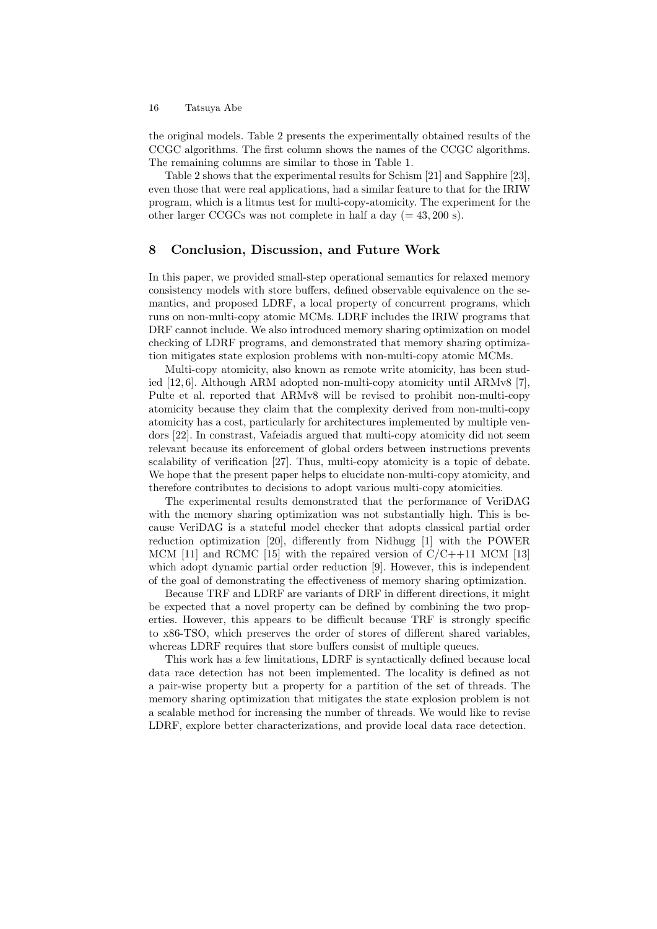the original models. Table 2 presents the experimentally obtained results of the CCGC algorithms. The first column shows the names of the CCGC algorithms. The remaining columns are similar to those in Table 1.

Table 2 shows that the experimental results for Schism [21] and Sapphire [23], even those that were real applications, had a similar feature to that for the IRIW program, which is a litmus test for multi-copy-atomicity. The experiment for the other larger CCGCs was not complete in half a day  $(= 43, 200 \text{ s}).$ 

# 8 Conclusion, Discussion, and Future Work

In this paper, we provided small-step operational semantics for relaxed memory consistency models with store buffers, defined observable equivalence on the semantics, and proposed LDRF, a local property of concurrent programs, which runs on non-multi-copy atomic MCMs. LDRF includes the IRIW programs that DRF cannot include. We also introduced memory sharing optimization on model checking of LDRF programs, and demonstrated that memory sharing optimization mitigates state explosion problems with non-multi-copy atomic MCMs.

Multi-copy atomicity, also known as remote write atomicity, has been studied [12, 6]. Although ARM adopted non-multi-copy atomicity until ARMv8 [7], Pulte et al. reported that ARMv8 will be revised to prohibit non-multi-copy atomicity because they claim that the complexity derived from non-multi-copy atomicity has a cost, particularly for architectures implemented by multiple vendors [22]. In constrast, Vafeiadis argued that multi-copy atomicity did not seem relevant because its enforcement of global orders between instructions prevents scalability of verification [27]. Thus, multi-copy atomicity is a topic of debate. We hope that the present paper helps to elucidate non-multi-copy atomicity, and therefore contributes to decisions to adopt various multi-copy atomicities.

The experimental results demonstrated that the performance of VeriDAG with the memory sharing optimization was not substantially high. This is because VeriDAG is a stateful model checker that adopts classical partial order reduction optimization [20], differently from Nidhugg [1] with the POWER MCM  $[11]$  and RCMC  $[15]$  with the repaired version of  $C/C++11$  MCM  $[13]$ which adopt dynamic partial order reduction [9]. However, this is independent of the goal of demonstrating the effectiveness of memory sharing optimization.

Because TRF and LDRF are variants of DRF in different directions, it might be expected that a novel property can be defined by combining the two properties. However, this appears to be difficult because TRF is strongly specific to x86-TSO, which preserves the order of stores of different shared variables, whereas LDRF requires that store buffers consist of multiple queues.

This work has a few limitations, LDRF is syntactically defined because local data race detection has not been implemented. The locality is defined as not a pair-wise property but a property for a partition of the set of threads. The memory sharing optimization that mitigates the state explosion problem is not a scalable method for increasing the number of threads. We would like to revise LDRF, explore better characterizations, and provide local data race detection.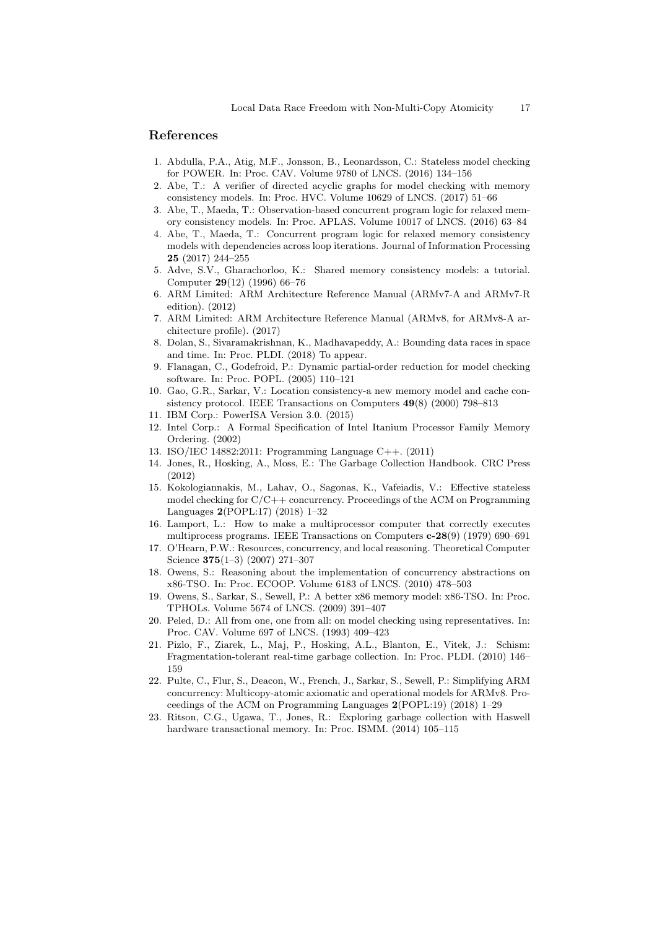### References

- 1. Abdulla, P.A., Atig, M.F., Jonsson, B., Leonardsson, C.: Stateless model checking for POWER. In: Proc. CAV. Volume 9780 of LNCS. (2016) 134–156
- 2. Abe, T.: A verifier of directed acyclic graphs for model checking with memory consistency models. In: Proc. HVC. Volume 10629 of LNCS. (2017) 51–66
- 3. Abe, T., Maeda, T.: Observation-based concurrent program logic for relaxed memory consistency models. In: Proc. APLAS. Volume 10017 of LNCS. (2016) 63–84
- 4. Abe, T., Maeda, T.: Concurrent program logic for relaxed memory consistency models with dependencies across loop iterations. Journal of Information Processing 25 (2017) 244–255
- 5. Adve, S.V., Gharachorloo, K.: Shared memory consistency models: a tutorial. Computer 29(12) (1996) 66–76
- 6. ARM Limited: ARM Architecture Reference Manual (ARMv7-A and ARMv7-R edition). (2012)
- 7. ARM Limited: ARM Architecture Reference Manual (ARMv8, for ARMv8-A architecture profile). (2017)
- 8. Dolan, S., Sivaramakrishnan, K., Madhavapeddy, A.: Bounding data races in space and time. In: Proc. PLDI. (2018) To appear.
- 9. Flanagan, C., Godefroid, P.: Dynamic partial-order reduction for model checking software. In: Proc. POPL. (2005) 110–121
- 10. Gao, G.R., Sarkar, V.: Location consistency-a new memory model and cache consistency protocol. IEEE Transactions on Computers 49(8) (2000) 798–813
- 11. IBM Corp.: PowerISA Version 3.0. (2015)
- 12. Intel Corp.: A Formal Specification of Intel Itanium Processor Family Memory Ordering. (2002)
- 13. ISO/IEC 14882:2011: Programming Language C++. (2011)
- 14. Jones, R., Hosking, A., Moss, E.: The Garbage Collection Handbook. CRC Press (2012)
- 15. Kokologiannakis, M., Lahav, O., Sagonas, K., Vafeiadis, V.: Effective stateless model checking for C/C++ concurrency. Proceedings of the ACM on Programming Languages 2(POPL:17) (2018) 1–32
- 16. Lamport, L.: How to make a multiprocessor computer that correctly executes multiprocess programs. IEEE Transactions on Computers c-28(9) (1979) 690–691
- 17. O'Hearn, P.W.: Resources, concurrency, and local reasoning. Theoretical Computer Science 375(1–3) (2007) 271–307
- 18. Owens, S.: Reasoning about the implementation of concurrency abstractions on x86-TSO. In: Proc. ECOOP. Volume 6183 of LNCS. (2010) 478–503
- 19. Owens, S., Sarkar, S., Sewell, P.: A better x86 memory model: x86-TSO. In: Proc. TPHOLs. Volume 5674 of LNCS. (2009) 391–407
- 20. Peled, D.: All from one, one from all: on model checking using representatives. In: Proc. CAV. Volume 697 of LNCS. (1993) 409–423
- 21. Pizlo, F., Ziarek, L., Maj, P., Hosking, A.L., Blanton, E., Vitek, J.: Schism: Fragmentation-tolerant real-time garbage collection. In: Proc. PLDI. (2010) 146– 159
- 22. Pulte, C., Flur, S., Deacon, W., French, J., Sarkar, S., Sewell, P.: Simplifying ARM concurrency: Multicopy-atomic axiomatic and operational models for ARMv8. Proceedings of the ACM on Programming Languages 2(POPL:19) (2018) 1–29
- 23. Ritson, C.G., Ugawa, T., Jones, R.: Exploring garbage collection with Haswell hardware transactional memory. In: Proc. ISMM. (2014) 105–115